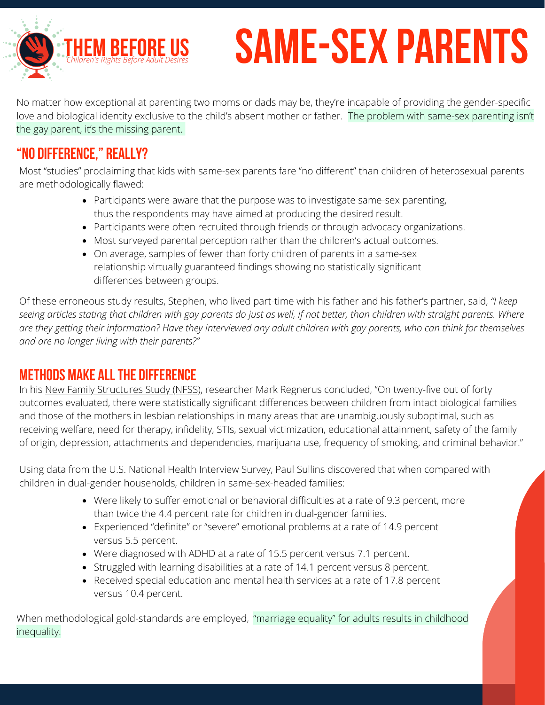#### **f h**<br>**E**<br>**E**<br>*Children's Rights Before Adult I Ch ildr en hts Be for e A* **REU**<br>Adult Des *du* **e**<br>*It Desire lt De* **US**<br>esires *sir* **s**

# **SAME-SEX PARENTS**

No matter how exceptional at parenting two moms or dads may be, they're incapable of providing the gender-specific love and biological identity exclusive to the child's absent mother or father. The problem with same-sex parenting isn't the gay parent, it's the missing parent.

# **"No Difference," Really?**

Most "studies" proclaiming that kids with same-sex parents fare "no different" than children of heterosexual parents are [methodologically](https://www.heritage.org/%20marriage-and-family/report/the-research-same-sex-parenting-no-differences-%20no-more) flawed:

- Participants were aware that the purpose was to investigate same-sex parenting, thus the respondents may have aimed at producing the desired result.
- Participants were often recruited through friends or through advocacy organizations.
- Most surveyed parental perception rather than the children's actual outcomes.
- On average, samples of fewer than forty children of parents in a same-sex relationship virtually guaranteed findings showing no statistically significant differences between groups.

Of these erroneous study results, Stephen, who lived part-time with his father and his father's partner, said, *"I keep* seeing articles stating that children with gay parents do just as well, if not better, than children with straight parents. Where are they getting their information? Have they interviewed any adult children with gay parents, who can think for themselves *and are no longer living with their parents?"*

## **Methods Make Allthe Difference**

In his New Family [Structures](https://www.icpsr.umich.edu/web/ICPSR/studies/34392) Study (NFSS), researcher Mark Regnerus concluded, "On twenty-five out of forty outcomes evaluated, there were statistically significant differences between children from intact biological families and those of the mothers in lesbian relationships in many areas that are unambiguously suboptimal, such as receiving welfare, need for therapy, infidelity, STIs, sexual victimization, educational attainment, safety of the family of origin, depression, attachments and dependencies, marijuana use, frequency of smoking, and criminal behavior."

Using data from the U.S. National Health [Interview](https://www.sciencedirect.com/science/article/abs/pii/S0049089X12000610) Survey, Paul Sullins discovered that when compared with children in dual-gender households, children in same-sex-headed families:

- Were likely to suffer emotional or behavioral difficulties at a rate of 9.3 percent, more than twice the 4.4 percent rate for children in dual-gender families.
- Experienced "definite" or "severe" emotional problems at a rate of 14.9 percent versus 5.5 percent.
- Were diagnosed with ADHD at a rate of 15.5 percent versus 7.1 percent.
- Struggled with learning disabilities at a rate of 14.1 percent versus 8 percent.
- Received special education and mental health services at a rate of 17.8 percent versus 10.4 percent.

When methodological gold-standards are employed, "marriage equality" for adults results in childhood inequality.